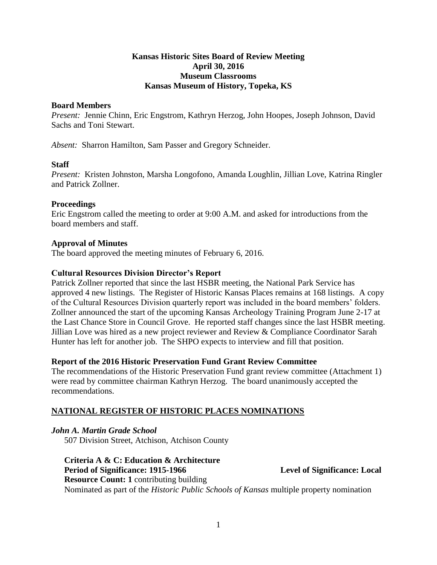## **Kansas Historic Sites Board of Review Meeting April 30, 2016 Museum Classrooms Kansas Museum of History, Topeka, KS**

### **Board Members**

*Present:* Jennie Chinn, Eric Engstrom, Kathryn Herzog, John Hoopes, Joseph Johnson, David Sachs and Toni Stewart.

*Absent:* Sharron Hamilton, Sam Passer and Gregory Schneider.

### **Staff**

*Present:* Kristen Johnston, Marsha Longofono, Amanda Loughlin, Jillian Love, Katrina Ringler and Patrick Zollner.

### **Proceedings**

Eric Engstrom called the meeting to order at 9:00 A.M. and asked for introductions from the board members and staff.

# **Approval of Minutes**

The board approved the meeting minutes of February 6, 2016.

# **Cultural Resources Division Director's Report**

Patrick Zollner reported that since the last HSBR meeting, the National Park Service has approved 4 new listings. The Register of Historic Kansas Places remains at 168 listings. A copy of the Cultural Resources Division quarterly report was included in the board members' folders. Zollner announced the start of the upcoming Kansas Archeology Training Program June 2-17 at the Last Chance Store in Council Grove. He reported staff changes since the last HSBR meeting. Jillian Love was hired as a new project reviewer and Review & Compliance Coordinator Sarah Hunter has left for another job. The SHPO expects to interview and fill that position.

### **Report of the 2016 Historic Preservation Fund Grant Review Committee**

The recommendations of the Historic Preservation Fund grant review committee (Attachment 1) were read by committee chairman Kathryn Herzog. The board unanimously accepted the recommendations.

# **NATIONAL REGISTER OF HISTORIC PLACES NOMINATIONS**

*John A. Martin Grade School* 507 Division Street, Atchison, Atchison County

**Criteria A & C: Education & Architecture** Period of Significance: 1915-1966 **Level of Significance: Local Resource Count: 1** contributing building Nominated as part of the *Historic Public Schools of Kansas* multiple property nomination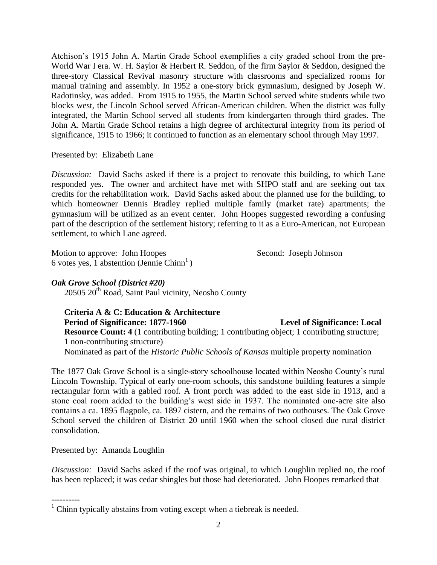Atchison's 1915 John A. Martin Grade School exemplifies a city graded school from the pre-World War I era. W. H. Saylor & Herbert R. Seddon, of the firm Saylor & Seddon, designed the three-story Classical Revival masonry structure with classrooms and specialized rooms for manual training and assembly. In 1952 a one-story brick gymnasium, designed by Joseph W. Radotinsky, was added. From 1915 to 1955, the Martin School served white students while two blocks west, the Lincoln School served African-American children. When the district was fully integrated, the Martin School served all students from kindergarten through third grades. The John A. Martin Grade School retains a high degree of architectural integrity from its period of significance, 1915 to 1966; it continued to function as an elementary school through May 1997.

Presented by: Elizabeth Lane

*Discussion:* David Sachs asked if there is a project to renovate this building, to which Lane responded yes. The owner and architect have met with SHPO staff and are seeking out tax credits for the rehabilitation work. David Sachs asked about the planned use for the building, to which homeowner Dennis Bradley replied multiple family (market rate) apartments; the gymnasium will be utilized as an event center. John Hoopes suggested rewording a confusing part of the description of the settlement history; referring to it as a Euro-American, not European settlement, to which Lane agreed.

Motion to approve: John Hoopes Second: Joseph Johnson 6 votes yes, 1 abstention (Jennie Chinn<sup>1</sup>)

# *Oak Grove School (District #20)*

20505 20<sup>th</sup> Road, Saint Paul vicinity, Neosho County

# **Criteria A & C: Education & Architecture** Period of Significance: 1877-1960 Level of Significance: Local **Resource Count: 4** (1 contributing building; 1 contributing object; 1 contributing structure; 1 non-contributing structure)

Nominated as part of the *Historic Public Schools of Kansas* multiple property nomination

The 1877 Oak Grove School is a single-story schoolhouse located within Neosho County's rural Lincoln Township. Typical of early one-room schools, this sandstone building features a simple rectangular form with a gabled roof. A front porch was added to the east side in 1913, and a stone coal room added to the building's west side in 1937. The nominated one-acre site also contains a ca. 1895 flagpole, ca. 1897 cistern, and the remains of two outhouses. The Oak Grove School served the children of District 20 until 1960 when the school closed due rural district consolidation.

Presented by: Amanda Loughlin

*Discussion:* David Sachs asked if the roof was original, to which Loughlin replied no, the roof has been replaced; it was cedar shingles but those had deteriorated. John Hoopes remarked that

<sup>----------</sup>  $1$  Chinn typically abstains from voting except when a tiebreak is needed.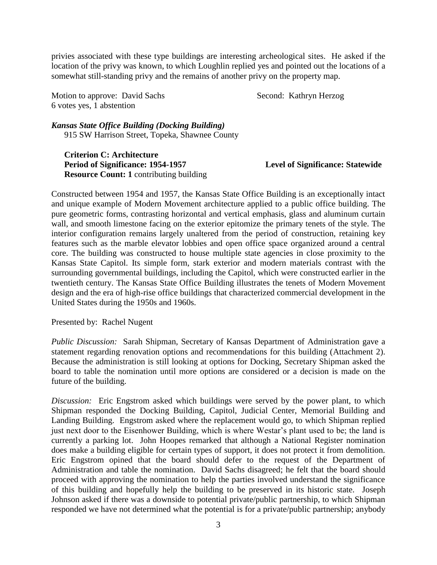privies associated with these type buildings are interesting archeological sites. He asked if the location of the privy was known, to which Loughlin replied yes and pointed out the locations of a somewhat still-standing privy and the remains of another privy on the property map.

Motion to approve: David Sachs Second: Kathryn Herzog 6 votes yes, 1 abstention

*Kansas State Office Building (Docking Building)*

915 SW Harrison Street, Topeka, Shawnee County

**Criterion C: Architecture** Period of Significance: 1954-1957 Level of Significance: Statewide **Resource Count: 1** contributing building

Constructed between 1954 and 1957, the Kansas State Office Building is an exceptionally intact and unique example of Modern Movement architecture applied to a public office building. The pure geometric forms, contrasting horizontal and vertical emphasis, glass and aluminum curtain wall, and smooth limestone facing on the exterior epitomize the primary tenets of the style. The interior configuration remains largely unaltered from the period of construction, retaining key features such as the marble elevator lobbies and open office space organized around a central core. The building was constructed to house multiple state agencies in close proximity to the Kansas State Capitol. Its simple form, stark exterior and modern materials contrast with the surrounding governmental buildings, including the Capitol, which were constructed earlier in the twentieth century. The Kansas State Office Building illustrates the tenets of Modern Movement design and the era of high-rise office buildings that characterized commercial development in the United States during the 1950s and 1960s.

Presented by: Rachel Nugent

*Public Discussion:* Sarah Shipman, Secretary of Kansas Department of Administration gave a statement regarding renovation options and recommendations for this building (Attachment 2). Because the administration is still looking at options for Docking, Secretary Shipman asked the board to table the nomination until more options are considered or a decision is made on the future of the building.

*Discussion:* Eric Engstrom asked which buildings were served by the power plant, to which Shipman responded the Docking Building, Capitol, Judicial Center, Memorial Building and Landing Building. Engstrom asked where the replacement would go, to which Shipman replied just next door to the Eisenhower Building, which is where Westar's plant used to be; the land is currently a parking lot. John Hoopes remarked that although a National Register nomination does make a building eligible for certain types of support, it does not protect it from demolition. Eric Engstrom opined that the board should defer to the request of the Department of Administration and table the nomination. David Sachs disagreed; he felt that the board should proceed with approving the nomination to help the parties involved understand the significance of this building and hopefully help the building to be preserved in its historic state. Joseph Johnson asked if there was a downside to potential private/public partnership, to which Shipman responded we have not determined what the potential is for a private/public partnership; anybody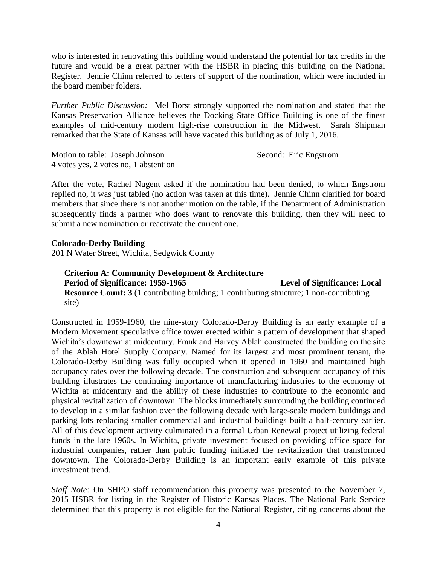who is interested in renovating this building would understand the potential for tax credits in the future and would be a great partner with the HSBR in placing this building on the National Register. Jennie Chinn referred to letters of support of the nomination, which were included in the board member folders.

*Further Public Discussion:* Mel Borst strongly supported the nomination and stated that the Kansas Preservation Alliance believes the Docking State Office Building is one of the finest examples of mid-century modern high-rise construction in the Midwest. Sarah Shipman remarked that the State of Kansas will have vacated this building as of July 1, 2016.

Motion to table: Joseph Johnson Second: Eric Engstrom 4 votes yes, 2 votes no, 1 abstention

After the vote, Rachel Nugent asked if the nomination had been denied, to which Engstrom replied no, it was just tabled (no action was taken at this time). Jennie Chinn clarified for board members that since there is not another motion on the table, if the Department of Administration subsequently finds a partner who does want to renovate this building, then they will need to submit a new nomination or reactivate the current one.

#### **Colorado-Derby Building**

201 N Water Street, Wichita, Sedgwick County

### **Criterion A: Community Development & Architecture** Period of Significance: 1959-1965 **Level of Significance: Local Resource Count: 3** (1 contributing building; 1 contributing structure; 1 non-contributing site)

Constructed in 1959-1960, the nine-story Colorado-Derby Building is an early example of a Modern Movement speculative office tower erected within a pattern of development that shaped Wichita's downtown at midcentury. Frank and Harvey Ablah constructed the building on the site of the Ablah Hotel Supply Company. Named for its largest and most prominent tenant, the Colorado-Derby Building was fully occupied when it opened in 1960 and maintained high occupancy rates over the following decade. The construction and subsequent occupancy of this building illustrates the continuing importance of manufacturing industries to the economy of Wichita at midcentury and the ability of these industries to contribute to the economic and physical revitalization of downtown. The blocks immediately surrounding the building continued to develop in a similar fashion over the following decade with large-scale modern buildings and parking lots replacing smaller commercial and industrial buildings built a half-century earlier. All of this development activity culminated in a formal Urban Renewal project utilizing federal funds in the late 1960s. In Wichita, private investment focused on providing office space for industrial companies, rather than public funding initiated the revitalization that transformed downtown. The Colorado-Derby Building is an important early example of this private investment trend.

*Staff Note:* On SHPO staff recommendation this property was presented to the November 7, 2015 HSBR for listing in the Register of Historic Kansas Places. The National Park Service determined that this property is not eligible for the National Register, citing concerns about the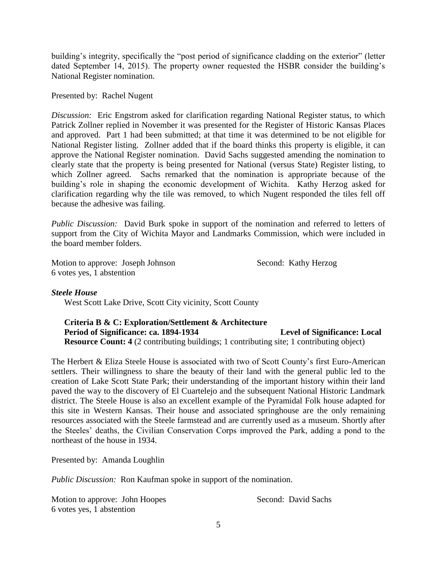building's integrity, specifically the "post period of significance cladding on the exterior" (letter dated September 14, 2015). The property owner requested the HSBR consider the building's National Register nomination.

#### Presented by: Rachel Nugent

*Discussion:* Eric Engstrom asked for clarification regarding National Register status, to which Patrick Zollner replied in November it was presented for the Register of Historic Kansas Places and approved. Part 1 had been submitted; at that time it was determined to be not eligible for National Register listing. Zollner added that if the board thinks this property is eligible, it can approve the National Register nomination. David Sachs suggested amending the nomination to clearly state that the property is being presented for National (versus State) Register listing, to which Zollner agreed. Sachs remarked that the nomination is appropriate because of the building's role in shaping the economic development of Wichita. Kathy Herzog asked for clarification regarding why the tile was removed, to which Nugent responded the tiles fell off because the adhesive was failing.

*Public Discussion:* David Burk spoke in support of the nomination and referred to letters of support from the City of Wichita Mayor and Landmarks Commission, which were included in the board member folders.

Motion to approve: Joseph Johnson Second: Kathy Herzog 6 votes yes, 1 abstention

### *Steele House*

West Scott Lake Drive, Scott City vicinity, Scott County

### **Criteria B & C: Exploration/Settlement & Architecture** Period of Significance: ca. 1894-1934 **Level of Significance: Local Resource Count: 4** (2 contributing buildings; 1 contributing site; 1 contributing object)

The Herbert & Eliza Steele House is associated with two of Scott County's first Euro-American settlers. Their willingness to share the beauty of their land with the general public led to the creation of Lake Scott State Park; their understanding of the important history within their land paved the way to the discovery of El Cuartelejo and the subsequent National Historic Landmark district. The Steele House is also an excellent example of the Pyramidal Folk house adapted for this site in Western Kansas. Their house and associated springhouse are the only remaining resources associated with the Steele farmstead and are currently used as a museum. Shortly after the Steeles' deaths, the Civilian Conservation Corps improved the Park, adding a pond to the northeast of the house in 1934.

Presented by: Amanda Loughlin

*Public Discussion:* Ron Kaufman spoke in support of the nomination.

Motion to approve: John Hoopes Second: David Sachs 6 votes yes, 1 abstention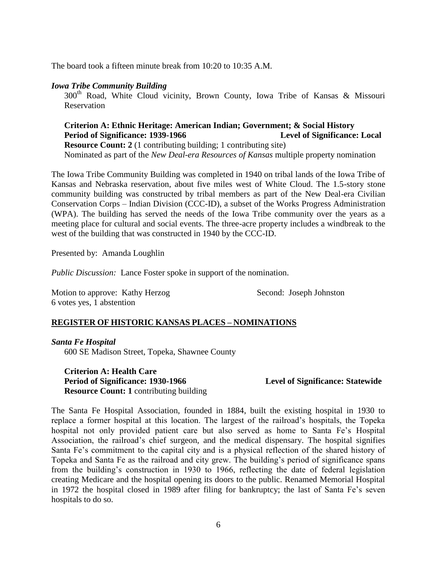The board took a fifteen minute break from 10:20 to 10:35 A.M.

#### *Iowa Tribe Community Building*

300<sup>th</sup> Road, White Cloud vicinity, Brown County, Iowa Tribe of Kansas & Missouri Reservation

**Criterion A: Ethnic Heritage: American Indian; Government; & Social History** Period of Significance: 1939-1966 Level of Significance: Local **Resource Count: 2** (1 contributing building; 1 contributing site) Nominated as part of the *New Deal-era Resources of Kansas* multiple property nomination

The Iowa Tribe Community Building was completed in 1940 on tribal lands of the Iowa Tribe of Kansas and Nebraska reservation, about five miles west of White Cloud. The 1.5-story stone community building was constructed by tribal members as part of the New Deal-era Civilian Conservation Corps – Indian Division (CCC-ID), a subset of the Works Progress Administration (WPA). The building has served the needs of the Iowa Tribe community over the years as a meeting place for cultural and social events. The three-acre property includes a windbreak to the west of the building that was constructed in 1940 by the CCC-ID.

Presented by: Amanda Loughlin

*Public Discussion:* Lance Foster spoke in support of the nomination.

Motion to approve: Kathy Herzog Second: Joseph Johnston 6 votes yes, 1 abstention

# **REGISTER OF HISTORIC KANSAS PLACES – NOMINATIONS**

*Santa Fe Hospital* 600 SE Madison Street, Topeka, Shawnee County

**Criterion A: Health Care Period of Significance: 1930-1966 Level of Significance: Statewide Resource Count: 1** contributing building

The Santa Fe Hospital Association, founded in 1884, built the existing hospital in 1930 to replace a former hospital at this location. The largest of the railroad's hospitals, the Topeka hospital not only provided patient care but also served as home to Santa Fe's Hospital Association, the railroad's chief surgeon, and the medical dispensary. The hospital signifies Santa Fe's commitment to the capital city and is a physical reflection of the shared history of Topeka and Santa Fe as the railroad and city grew. The building's period of significance spans from the building's construction in 1930 to 1966, reflecting the date of federal legislation creating Medicare and the hospital opening its doors to the public. Renamed Memorial Hospital in 1972 the hospital closed in 1989 after filing for bankruptcy; the last of Santa Fe's seven hospitals to do so.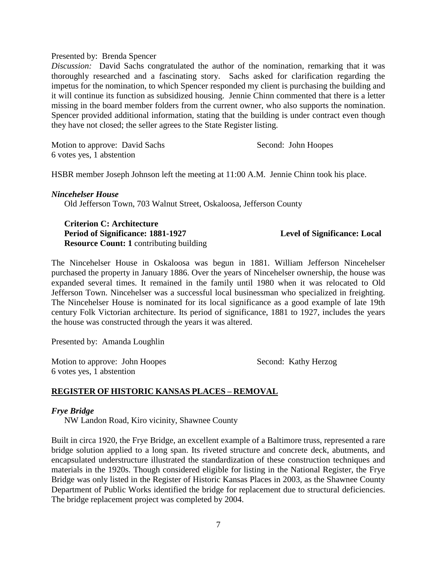#### Presented by: Brenda Spencer

*Discussion:* David Sachs congratulated the author of the nomination, remarking that it was thoroughly researched and a fascinating story. Sachs asked for clarification regarding the impetus for the nomination, to which Spencer responded my client is purchasing the building and it will continue its function as subsidized housing. Jennie Chinn commented that there is a letter missing in the board member folders from the current owner, who also supports the nomination. Spencer provided additional information, stating that the building is under contract even though they have not closed; the seller agrees to the State Register listing.

Motion to approve: David Sachs Second: John Hoopes 6 votes yes, 1 abstention

HSBR member Joseph Johnson left the meeting at 11:00 A.M. Jennie Chinn took his place.

#### *Nincehelser House*

Old Jefferson Town, 703 Walnut Street, Oskaloosa, Jefferson County

**Criterion C: Architecture** Period of Significance: 1881-1927 Level of Significance: Local **Resource Count: 1** contributing building

The Nincehelser House in Oskaloosa was begun in 1881. William Jefferson Nincehelser purchased the property in January 1886. Over the years of Nincehelser ownership, the house was expanded several times. It remained in the family until 1980 when it was relocated to Old Jefferson Town. Nincehelser was a successful local businessman who specialized in freighting. The Nincehelser House is nominated for its local significance as a good example of late 19th century Folk Victorian architecture. Its period of significance, 1881 to 1927, includes the years the house was constructed through the years it was altered.

Presented by: Amanda Loughlin

Motion to approve: John Hoopes Second: Kathy Herzog 6 votes yes, 1 abstention

### **REGISTER OF HISTORIC KANSAS PLACES – REMOVAL**

#### *Frye Bridge*

NW Landon Road, Kiro vicinity, Shawnee County

Built in circa 1920, the Frye Bridge, an excellent example of a Baltimore truss, represented a rare bridge solution applied to a long span. Its riveted structure and concrete deck, abutments, and encapsulated understructure illustrated the standardization of these construction techniques and materials in the 1920s. Though considered eligible for listing in the National Register, the Frye Bridge was only listed in the Register of Historic Kansas Places in 2003, as the Shawnee County Department of Public Works identified the bridge for replacement due to structural deficiencies. The bridge replacement project was completed by 2004.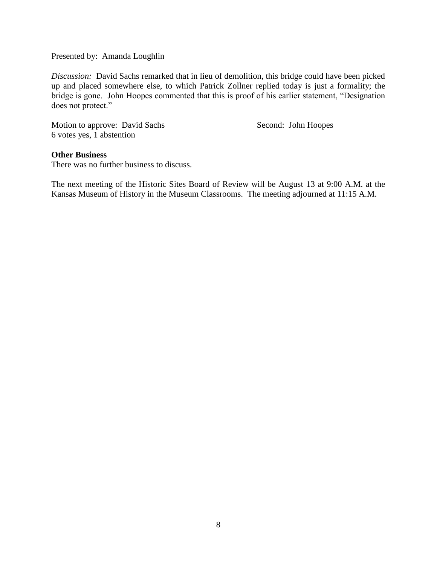Presented by: Amanda Loughlin

*Discussion:* David Sachs remarked that in lieu of demolition, this bridge could have been picked up and placed somewhere else, to which Patrick Zollner replied today is just a formality; the bridge is gone. John Hoopes commented that this is proof of his earlier statement, "Designation does not protect."

Motion to approve: David Sachs Second: John Hoopes 6 votes yes, 1 abstention

### **Other Business**

There was no further business to discuss.

The next meeting of the Historic Sites Board of Review will be August 13 at 9:00 A.M. at the Kansas Museum of History in the Museum Classrooms. The meeting adjourned at 11:15 A.M.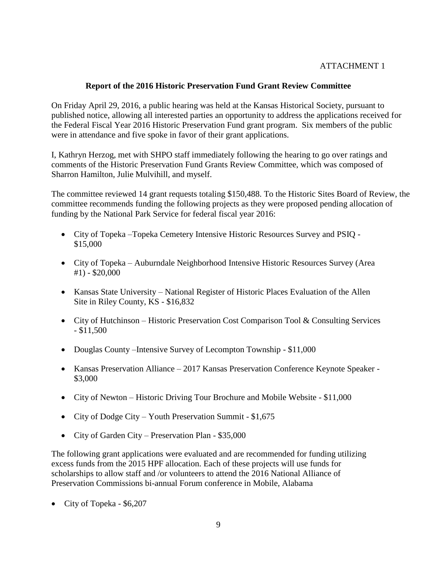# ATTACHMENT 1

# **Report of the 2016 Historic Preservation Fund Grant Review Committee**

On Friday April 29, 2016, a public hearing was held at the Kansas Historical Society, pursuant to published notice, allowing all interested parties an opportunity to address the applications received for the Federal Fiscal Year 2016 Historic Preservation Fund grant program. Six members of the public were in attendance and five spoke in favor of their grant applications.

I, Kathryn Herzog, met with SHPO staff immediately following the hearing to go over ratings and comments of the Historic Preservation Fund Grants Review Committee, which was composed of Sharron Hamilton, Julie Mulvihill, and myself.

The committee reviewed 14 grant requests totaling \$150,488. To the Historic Sites Board of Review, the committee recommends funding the following projects as they were proposed pending allocation of funding by the National Park Service for federal fiscal year 2016:

- City of Topeka –Topeka Cemetery Intensive Historic Resources Survey and PSIQ \$15,000
- City of Topeka Auburndale Neighborhood Intensive Historic Resources Survey (Area #1) - \$20,000
- Kansas State University National Register of Historic Places Evaluation of the Allen Site in Riley County, KS - \$16,832
- City of Hutchinson Historic Preservation Cost Comparison Tool & Consulting Services - \$11,500
- Douglas County –Intensive Survey of Lecompton Township \$11,000
- Kansas Preservation Alliance 2017 Kansas Preservation Conference Keynote Speaker \$3,000
- City of Newton Historic Driving Tour Brochure and Mobile Website \$11,000
- City of Dodge City Youth Preservation Summit \$1,675
- City of Garden City Preservation Plan \$35,000

The following grant applications were evaluated and are recommended for funding utilizing excess funds from the 2015 HPF allocation. Each of these projects will use funds for scholarships to allow staff and /or volunteers to attend the 2016 National Alliance of Preservation Commissions bi-annual Forum conference in Mobile, Alabama

• City of Topeka - \$6,207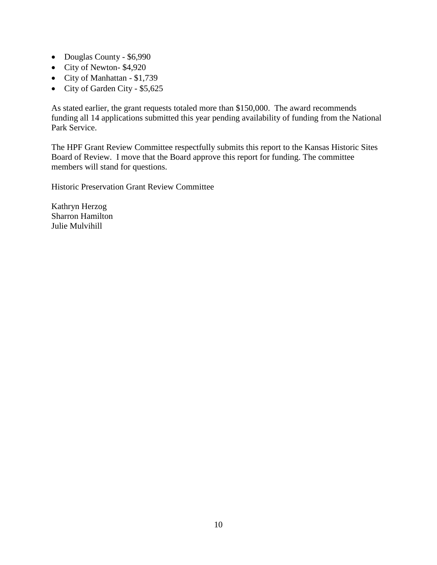- Douglas County \$6,990
- City of Newton- \$4,920
- City of Manhattan \$1,739
- City of Garden City \$5,625

As stated earlier, the grant requests totaled more than \$150,000. The award recommends funding all 14 applications submitted this year pending availability of funding from the National Park Service.

The HPF Grant Review Committee respectfully submits this report to the Kansas Historic Sites Board of Review. I move that the Board approve this report for funding. The committee members will stand for questions.

Historic Preservation Grant Review Committee

Kathryn Herzog Sharron Hamilton Julie Mulvihill